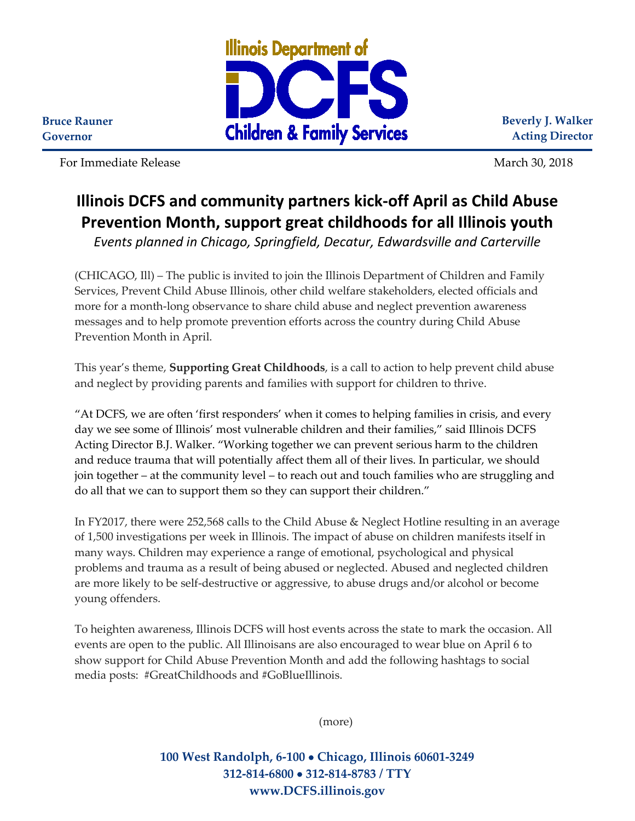

**Beverly J. Walker Acting Director**

For Immediate Release March 30, 2018

**Bruce Rauner Governor**

## **Illinois DCFS and community partners kick-off April as Child Abuse Prevention Month, support great childhoods for all Illinois youth**

*Events planned in Chicago, Springfield, Decatur, Edwardsville and Carterville* 

(CHICAGO, Ill) – The public is invited to join the Illinois Department of Children and Family Services, Prevent Child Abuse Illinois, other child welfare stakeholders, elected officials and more for a month-long observance to share child abuse and neglect prevention awareness messages and to help promote prevention efforts across the country during Child Abuse Prevention Month in April.

This year's theme, **Supporting Great Childhoods**, is a call to action to help prevent child abuse and neglect by providing parents and families with support for children to thrive.

"At DCFS, we are often 'first responders' when it comes to helping families in crisis, and every day we see some of Illinois' most vulnerable children and their families," said Illinois DCFS Acting Director B.J. Walker. "Working together we can prevent serious harm to the children and reduce trauma that will potentially affect them all of their lives. In particular, we should join together – at the community level – to reach out and touch families who are struggling and do all that we can to support them so they can support their children."

In FY2017, there were 252,568 calls to the Child Abuse & Neglect Hotline resulting in an average of 1,500 investigations per week in Illinois. The impact of abuse on children manifests itself in many ways. Children may experience a range of emotional, psychological and physical problems and trauma as a result of being abused or neglected. Abused and neglected children are more likely to be self-destructive or aggressive, to abuse drugs and/or alcohol or become young offenders.

To heighten awareness, Illinois DCFS will host events across the state to mark the occasion. All events are open to the public. All Illinoisans are also encouraged to wear blue on April 6 to show support for Child Abuse Prevention Month and add the following hashtags to social media posts: #GreatChildhoods and #GoBlueIllinois.

(more)

**100 West Randolph, 6-100** • **Chicago, Illinois 60601-3249 312-814-6800** • **312-814-8783 / TTY www.DCFS.illinois.gov**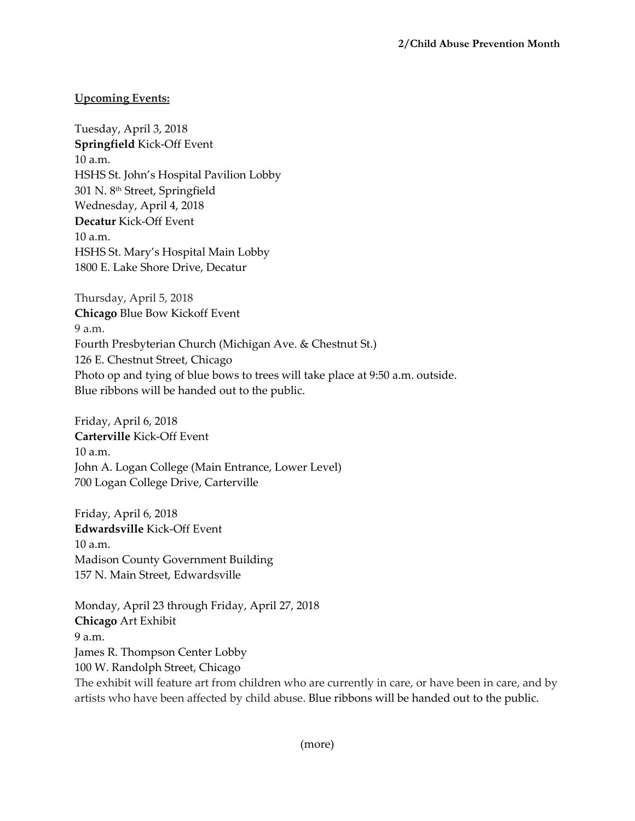## **Upcoming Events:**

Tuesday, April 3, 2018 **Springfield** Kick-Off Event 10 a.m. HSHS St. John's Hospital Pavilion Lobby 301 N. 8th Street, Springfield Wednesday, April 4, 2018 **Decatur** Kick-Off Event 10 a.m. HSHS St. Mary's Hospital Main Lobby 1800 E. Lake Shore Drive, Decatur

Thursday, April 5, 2018 **Chicago** Blue Bow Kickoff Event 9 a.m. Fourth Presbyterian Church (Michigan Ave. & Chestnut St.) 126 E. Chestnut Street, Chicago Photo op and tying of blue bows to trees will take place at 9:50 a.m. outside. Blue ribbons will be handed out to the public.

Friday, April 6, 2018 **Carterville** Kick-Off Event 10 a.m. John A. Logan College (Main Entrance, Lower Level) 700 Logan College Drive, Carterville

Friday, April 6, 2018 **Edwardsville** Kick-Off Event 10 a.m. Madison County Government Building 157 N. Main Street, Edwardsville

Monday, April 23 through Friday, April 27, 2018 **Chicago** Art Exhibit 9 a.m. James R. Thompson Center Lobby 100 W. Randolph Street, Chicago The exhibit will feature art from children who are currently in care, or have been in care, and by artists who have been affected by child abuse. Blue ribbons will be handed out to the public.